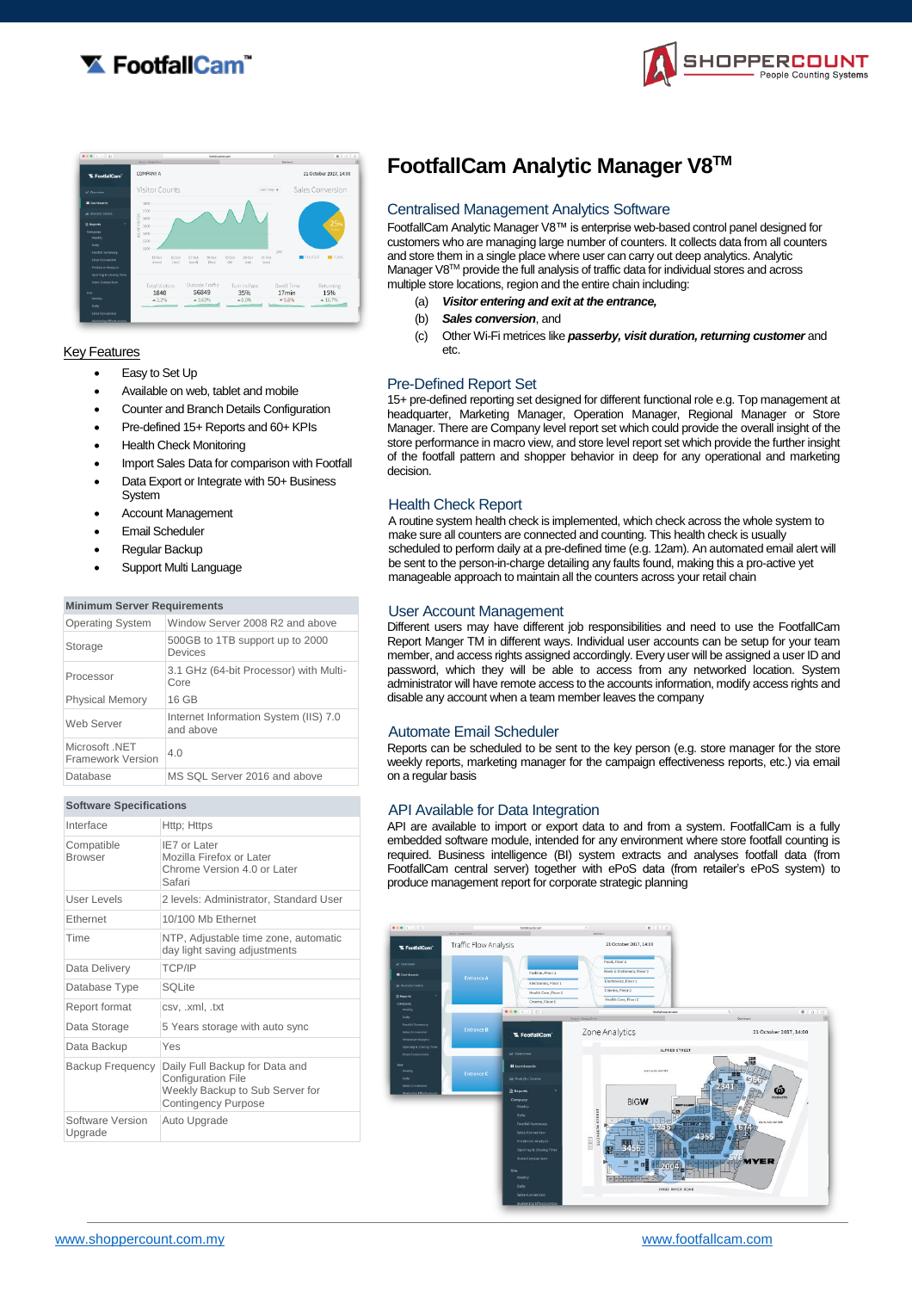



|                             | <b>Recent : Google Drive</b> | footbildearter.com       |                                         | c<br><b>Day Forcest</b> | 0000                   |
|-----------------------------|------------------------------|--------------------------|-----------------------------------------|-------------------------|------------------------|
| <b>X</b> FootfallCam        | COMPANY A                    |                          |                                         |                         | 21 October 2017, 14:00 |
| <b>M. Overview</b>          | Visitor Counts               |                          | Last 7 Days #                           |                         | Sales Conversion       |
| <b>III</b> Geshboards       | 1800                         |                          |                                         |                         |                        |
| <b>Lat. Analytic Centre</b> | 1700<br>1600                 |                          |                                         |                         |                        |
| <b>3 Reports</b>            | OF VISITOR<br>1500           |                          |                                         |                         | 25 <sub>%</sub>        |
| Company                     | 1400<br>ğ                    |                          |                                         |                         |                        |
| Weekly                      | 1300                         |                          |                                         |                         |                        |
| Daily                       | 1200                         |                          |                                         |                         |                        |
| Footfall Summary            | 15 Oct<br>16 Oct             | 17 Oct<br>18 Oct         | 59 Oct<br>21 Oct<br>20 Oct              | DAY                     | Footfall<br>Sales      |
| Sales Conversion            | (tue)<br>descent             | (wed)<br>$(d\mathbf{w})$ | (fri)<br>$\langle \text{tail}$<br>(sun) |                         |                        |
| Predictive Analysis         |                              |                          |                                         |                         |                        |
| Opening & Closing Time      |                              |                          |                                         |                         |                        |
| Store Comparison            | <b>Total Visitors</b>        | Outside Traffic          | Turn In Rate                            | Dwell Time              |                        |
| Site                        | 1840                         | 56849                    |                                         | 17 <sub>min</sub>       | Returning<br>15%       |
| Weekly                      |                              | $*3.63%$                 | 35%                                     |                         |                        |
| $0$ aily                    | $-2.2%$                      |                          | $-8.0%$                                 | $-5.6%$                 | $-16.7%$               |
| Sales Conversion            |                              |                          |                                         |                         |                        |
|                             |                              |                          |                                         |                         |                        |
| Marketing Effectiveness.    |                              |                          |                                         |                         |                        |

### **Key Features**

- Easy to Set Up
- Available on web, tablet and mobile
- Counter and Branch Details Configuration
- Pre-defined 15+ Reports and 60+ KPIs
- Health Check Monitoring
- Import Sales Data for comparison with Footfall
- Data Export or Integrate with 50+ Business **System**
- Account Management
- Email Scheduler
- Regular Backup
- Support Multi Language

#### **Minimum Server Requirements**

| <b>Operating System</b>             | Window Server 2008 R2 and above                    |  |
|-------------------------------------|----------------------------------------------------|--|
| Storage                             | 500GB to 1TB support up to 2000<br>Devices         |  |
| Processor                           | 3.1 GHz (64-bit Processor) with Multi-<br>Core     |  |
| <b>Physical Memory</b>              | 16 GB                                              |  |
| Web Server                          | Internet Information System (IIS) 7.0<br>and above |  |
| Microsoft .NET<br>Framework Version | 40                                                 |  |
| Database                            | MS SQL Server 2016 and above                       |  |

| <b>Software Specifications</b> |                                                                                                                              |  |  |  |
|--------------------------------|------------------------------------------------------------------------------------------------------------------------------|--|--|--|
| Interface                      | Http; Https                                                                                                                  |  |  |  |
| Compatible<br><b>Browser</b>   | IF7 or Later<br>Mozilla Firefox or Later<br>Chrome Version 4.0 or Later<br>Safari                                            |  |  |  |
| User Levels                    | 2 levels: Administrator, Standard User                                                                                       |  |  |  |
| Ethernet                       | 10/100 Mb Ethernet                                                                                                           |  |  |  |
| Time                           | NTP, Adjustable time zone, automatic<br>day light saving adjustments                                                         |  |  |  |
| Data Delivery                  | TCP/IP                                                                                                                       |  |  |  |
| Database Type                  | SOLite                                                                                                                       |  |  |  |
| Report format                  | csv, .xml, .txt                                                                                                              |  |  |  |
| Data Storage                   | 5 Years storage with auto sync                                                                                               |  |  |  |
| Data Backup                    | Yes                                                                                                                          |  |  |  |
| <b>Backup Frequency</b>        | Daily Full Backup for Data and<br><b>Configuration File</b><br>Weekly Backup to Sub Server for<br><b>Contingency Purpose</b> |  |  |  |
| Software Version<br>Upgrade    | Auto Upgrade                                                                                                                 |  |  |  |

# **FootfallCam Analytic Manager V8TM**

### Centralised Management Analytics Software

FootfallCam Analytic Manager V8™ is enterprise web-based control panel designed for customers who are managing large number of counters. It collects data from all counters and store them in a single place where user can carry out deep analytics. Analytic Manager V8™ provide the full analysis of traffic data for individual stores and across multiple store locations, region and the entire chain including:

- (a) *Visitor entering and exit at the entrance,*
- (b) *Sales conversion*, and
- (c) Other Wi-Fi metrices like *passerby, visit duration, returning customer* and etc.

### Pre-Defined Report Set

15+ pre-defined reporting set designed for different functional role e.g. Top management at headquarter, Marketing Manager, Operation Manager, Regional Manager or Store Manager. There are Company level report set which could provide the overall insight of the store performance in macro view, and store level report set which provide the further insight of the footfall pattern and shopper behavior in deep for any operational and marketing decision.

### Health Check Report

A routine system health check is implemented, which check across the whole system to make sure all counters are connected and counting. This health check is usually scheduled to perform daily at a pre-defined time (e.g. 12am). An automated email alert will be sent to the person-in-charge detailing any faults found, making this a pro-active yet manageable approach to maintain all the counters across your retail chain

### User Account Management

Different users may have different job responsibilities and need to use the FootfallCam Report Manger TM in different ways. Individual user accounts can be setup for your team member, and access rights assigned accordingly. Every user will be assigned a user ID and password, which they will be able to access from any networked location. System administrator will have remote access to the accounts information, modify access rights and disable any account when a team member leaves the company

### Automate Email Scheduler

Reports can be scheduled to be sent to the key person (e.g. store manager for the store weekly reports, marketing manager for the campaign effectiveness reports, etc.) via email on a regular basis

### API Available for Data Integration

API are available to import or export data to and from a system. FootfallCam is a fully embedded software module, intended for any environment where store footfall counting is required. Business intelligence (BI) system extracts and analyses footfall data (from FootfallCam central server) together with ePoS data (from retailer's ePoS system) to produce management report for corporate strategic planning